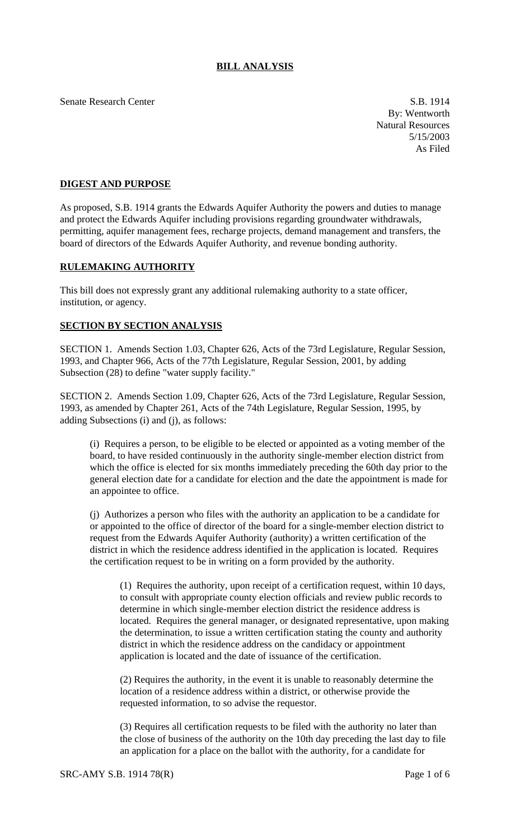## **BILL ANALYSIS**

Senate Research Center S.B. 1914

By: Wentworth Natural Resources 5/15/2003 As Filed

## **DIGEST AND PURPOSE**

As proposed, S.B. 1914 grants the Edwards Aquifer Authority the powers and duties to manage and protect the Edwards Aquifer including provisions regarding groundwater withdrawals, permitting, aquifer management fees, recharge projects, demand management and transfers, the board of directors of the Edwards Aquifer Authority, and revenue bonding authority.

## **RULEMAKING AUTHORITY**

This bill does not expressly grant any additional rulemaking authority to a state officer, institution, or agency.

## **SECTION BY SECTION ANALYSIS**

SECTION 1. Amends Section 1.03, Chapter 626, Acts of the 73rd Legislature, Regular Session, 1993, and Chapter 966, Acts of the 77th Legislature, Regular Session, 2001, by adding Subsection (28) to define "water supply facility."

SECTION 2. Amends Section 1.09, Chapter 626, Acts of the 73rd Legislature, Regular Session, 1993, as amended by Chapter 261, Acts of the 74th Legislature, Regular Session, 1995, by adding Subsections (i) and (j), as follows:

(i) Requires a person, to be eligible to be elected or appointed as a voting member of the board, to have resided continuously in the authority single-member election district from which the office is elected for six months immediately preceding the 60th day prior to the general election date for a candidate for election and the date the appointment is made for an appointee to office.

(j) Authorizes a person who files with the authority an application to be a candidate for or appointed to the office of director of the board for a single-member election district to request from the Edwards Aquifer Authority (authority) a written certification of the district in which the residence address identified in the application is located. Requires the certification request to be in writing on a form provided by the authority.

(1) Requires the authority, upon receipt of a certification request, within 10 days, to consult with appropriate county election officials and review public records to determine in which single-member election district the residence address is located. Requires the general manager, or designated representative, upon making the determination, to issue a written certification stating the county and authority district in which the residence address on the candidacy or appointment application is located and the date of issuance of the certification.

(2) Requires the authority, in the event it is unable to reasonably determine the location of a residence address within a district, or otherwise provide the requested information, to so advise the requestor.

(3) Requires all certification requests to be filed with the authority no later than the close of business of the authority on the 10th day preceding the last day to file an application for a place on the ballot with the authority, for a candidate for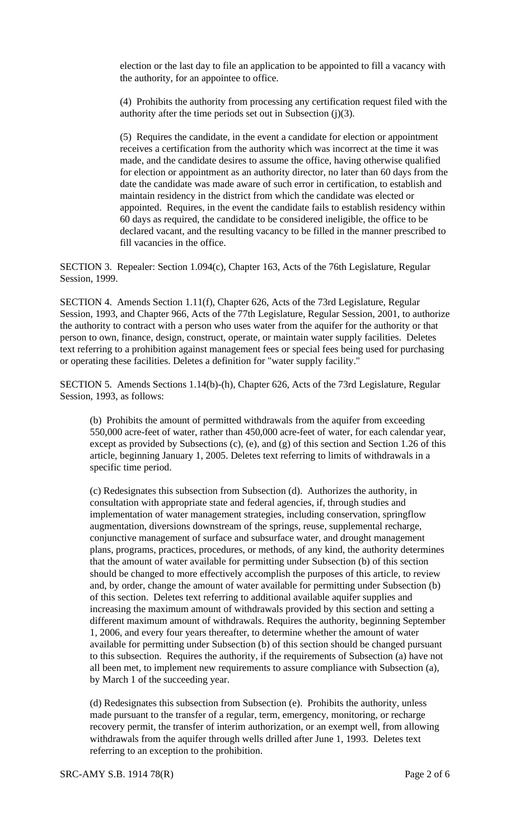election or the last day to file an application to be appointed to fill a vacancy with the authority, for an appointee to office.

(4) Prohibits the authority from processing any certification request filed with the authority after the time periods set out in Subsection (j)(3).

(5) Requires the candidate, in the event a candidate for election or appointment receives a certification from the authority which was incorrect at the time it was made, and the candidate desires to assume the office, having otherwise qualified for election or appointment as an authority director, no later than 60 days from the date the candidate was made aware of such error in certification, to establish and maintain residency in the district from which the candidate was elected or appointed. Requires, in the event the candidate fails to establish residency within 60 days as required, the candidate to be considered ineligible, the office to be declared vacant, and the resulting vacancy to be filled in the manner prescribed to fill vacancies in the office.

SECTION 3. Repealer: Section 1.094(c), Chapter 163, Acts of the 76th Legislature, Regular Session, 1999.

SECTION 4. Amends Section 1.11(f), Chapter 626, Acts of the 73rd Legislature, Regular Session, 1993, and Chapter 966, Acts of the 77th Legislature, Regular Session, 2001, to authorize the authority to contract with a person who uses water from the aquifer for the authority or that person to own, finance, design, construct, operate, or maintain water supply facilities. Deletes text referring to a prohibition against management fees or special fees being used for purchasing or operating these facilities. Deletes a definition for "water supply facility."

SECTION 5. Amends Sections 1.14(b)-(h), Chapter 626, Acts of the 73rd Legislature, Regular Session, 1993, as follows:

(b) Prohibits the amount of permitted withdrawals from the aquifer from exceeding 550,000 acre-feet of water, rather than 450,000 acre-feet of water, for each calendar year, except as provided by Subsections (c), (e), and (g) of this section and Section 1.26 of this article, beginning January 1, 2005. Deletes text referring to limits of withdrawals in a specific time period.

(c) Redesignates this subsection from Subsection (d). Authorizes the authority, in consultation with appropriate state and federal agencies, if, through studies and implementation of water management strategies, including conservation, springflow augmentation, diversions downstream of the springs, reuse, supplemental recharge, conjunctive management of surface and subsurface water, and drought management plans, programs, practices, procedures, or methods, of any kind, the authority determines that the amount of water available for permitting under Subsection (b) of this section should be changed to more effectively accomplish the purposes of this article, to review and, by order, change the amount of water available for permitting under Subsection (b) of this section. Deletes text referring to additional available aquifer supplies and increasing the maximum amount of withdrawals provided by this section and setting a different maximum amount of withdrawals. Requires the authority, beginning September 1, 2006, and every four years thereafter, to determine whether the amount of water available for permitting under Subsection (b) of this section should be changed pursuant to this subsection. Requires the authority, if the requirements of Subsection (a) have not all been met, to implement new requirements to assure compliance with Subsection (a), by March 1 of the succeeding year.

(d) Redesignates this subsection from Subsection (e). Prohibits the authority, unless made pursuant to the transfer of a regular, term, emergency, monitoring, or recharge recovery permit, the transfer of interim authorization, or an exempt well, from allowing withdrawals from the aquifer through wells drilled after June 1, 1993. Deletes text referring to an exception to the prohibition.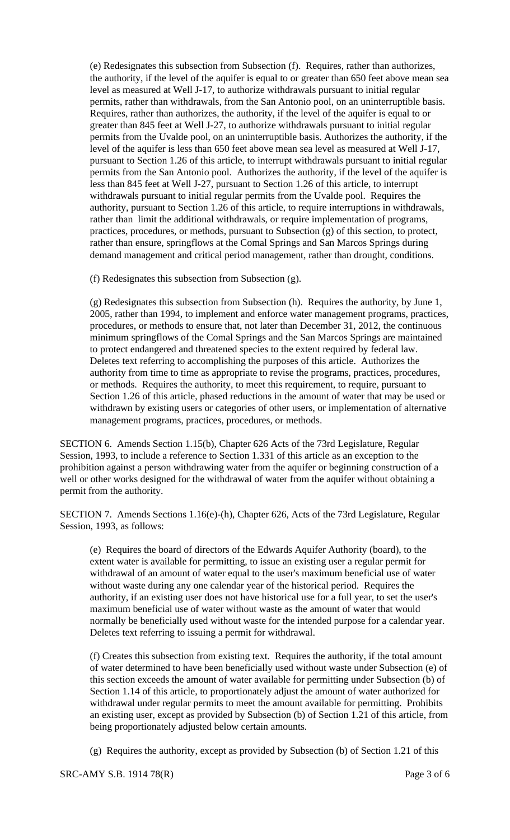(e) Redesignates this subsection from Subsection (f). Requires, rather than authorizes, the authority, if the level of the aquifer is equal to or greater than 650 feet above mean sea level as measured at Well J-17, to authorize withdrawals pursuant to initial regular permits, rather than withdrawals, from the San Antonio pool, on an uninterruptible basis. Requires, rather than authorizes, the authority, if the level of the aquifer is equal to or greater than 845 feet at Well J-27, to authorize withdrawals pursuant to initial regular permits from the Uvalde pool, on an uninterruptible basis. Authorizes the authority, if the level of the aquifer is less than 650 feet above mean sea level as measured at Well J-17, pursuant to Section 1.26 of this article, to interrupt withdrawals pursuant to initial regular permits from the San Antonio pool. Authorizes the authority, if the level of the aquifer is less than 845 feet at Well J-27, pursuant to Section 1.26 of this article, to interrupt withdrawals pursuant to initial regular permits from the Uvalde pool. Requires the authority, pursuant to Section 1.26 of this article, to require interruptions in withdrawals, rather than limit the additional withdrawals, or require implementation of programs, practices, procedures, or methods, pursuant to Subsection (g) of this section, to protect, rather than ensure, springflows at the Comal Springs and San Marcos Springs during demand management and critical period management, rather than drought, conditions.

(f) Redesignates this subsection from Subsection (g).

(g) Redesignates this subsection from Subsection (h). Requires the authority, by June 1, 2005, rather than 1994, to implement and enforce water management programs, practices, procedures, or methods to ensure that, not later than December 31, 2012, the continuous minimum springflows of the Comal Springs and the San Marcos Springs are maintained to protect endangered and threatened species to the extent required by federal law. Deletes text referring to accomplishing the purposes of this article. Authorizes the authority from time to time as appropriate to revise the programs, practices, procedures, or methods. Requires the authority, to meet this requirement, to require, pursuant to Section 1.26 of this article, phased reductions in the amount of water that may be used or withdrawn by existing users or categories of other users, or implementation of alternative management programs, practices, procedures, or methods.

SECTION 6. Amends Section 1.15(b), Chapter 626 Acts of the 73rd Legislature, Regular Session, 1993, to include a reference to Section 1.331 of this article as an exception to the prohibition against a person withdrawing water from the aquifer or beginning construction of a well or other works designed for the withdrawal of water from the aquifer without obtaining a permit from the authority.

SECTION 7. Amends Sections 1.16(e)-(h), Chapter 626, Acts of the 73rd Legislature, Regular Session, 1993, as follows:

(e) Requires the board of directors of the Edwards Aquifer Authority (board), to the extent water is available for permitting, to issue an existing user a regular permit for withdrawal of an amount of water equal to the user's maximum beneficial use of water without waste during any one calendar year of the historical period. Requires the authority, if an existing user does not have historical use for a full year, to set the user's maximum beneficial use of water without waste as the amount of water that would normally be beneficially used without waste for the intended purpose for a calendar year. Deletes text referring to issuing a permit for withdrawal.

(f) Creates this subsection from existing text. Requires the authority, if the total amount of water determined to have been beneficially used without waste under Subsection (e) of this section exceeds the amount of water available for permitting under Subsection (b) of Section 1.14 of this article, to proportionately adjust the amount of water authorized for withdrawal under regular permits to meet the amount available for permitting. Prohibits an existing user, except as provided by Subsection (b) of Section 1.21 of this article, from being proportionately adjusted below certain amounts.

(g) Requires the authority, except as provided by Subsection (b) of Section 1.21 of this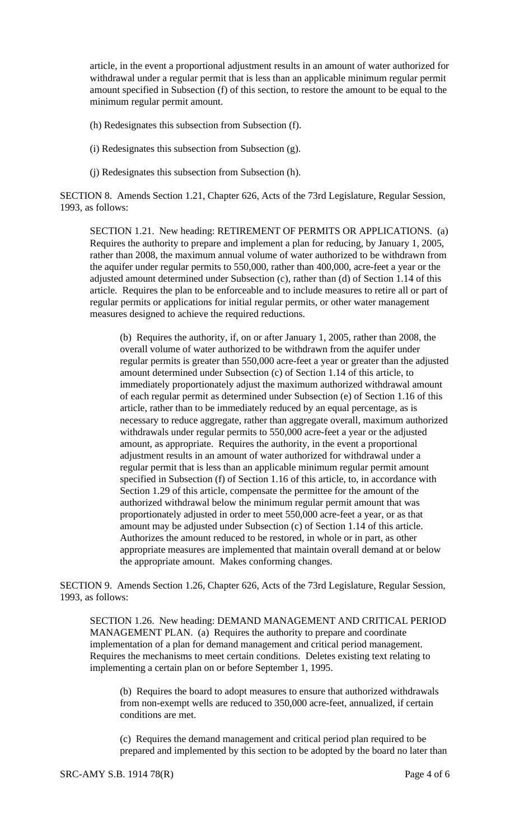article, in the event a proportional adjustment results in an amount of water authorized for withdrawal under a regular permit that is less than an applicable minimum regular permit amount specified in Subsection (f) of this section, to restore the amount to be equal to the minimum regular permit amount.

- (h) Redesignates this subsection from Subsection (f).
- (i) Redesignates this subsection from Subsection (g).
- (j) Redesignates this subsection from Subsection (h).

SECTION 8. Amends Section 1.21, Chapter 626, Acts of the 73rd Legislature, Regular Session, 1993, as follows:

SECTION 1.21. New heading: RETIREMENT OF PERMITS OR APPLICATIONS. (a) Requires the authority to prepare and implement a plan for reducing, by January 1, 2005, rather than 2008, the maximum annual volume of water authorized to be withdrawn from the aquifer under regular permits to 550,000, rather than 400,000, acre-feet a year or the adjusted amount determined under Subsection (c), rather than (d) of Section 1.14 of this article. Requires the plan to be enforceable and to include measures to retire all or part of regular permits or applications for initial regular permits, or other water management measures designed to achieve the required reductions.

(b) Requires the authority, if, on or after January 1, 2005, rather than 2008, the overall volume of water authorized to be withdrawn from the aquifer under regular permits is greater than 550,000 acre-feet a year or greater than the adjusted amount determined under Subsection (c) of Section 1.14 of this article, to immediately proportionately adjust the maximum authorized withdrawal amount of each regular permit as determined under Subsection (e) of Section 1.16 of this article, rather than to be immediately reduced by an equal percentage, as is necessary to reduce aggregate, rather than aggregate overall, maximum authorized withdrawals under regular permits to 550,000 acre-feet a year or the adjusted amount, as appropriate. Requires the authority, in the event a proportional adjustment results in an amount of water authorized for withdrawal under a regular permit that is less than an applicable minimum regular permit amount specified in Subsection (f) of Section 1.16 of this article, to, in accordance with Section 1.29 of this article, compensate the permittee for the amount of the authorized withdrawal below the minimum regular permit amount that was proportionately adjusted in order to meet 550,000 acre-feet a year, or as that amount may be adjusted under Subsection (c) of Section 1.14 of this article. Authorizes the amount reduced to be restored, in whole or in part, as other appropriate measures are implemented that maintain overall demand at or below the appropriate amount. Makes conforming changes.

SECTION 9. Amends Section 1.26, Chapter 626, Acts of the 73rd Legislature, Regular Session, 1993, as follows:

SECTION 1.26. New heading: DEMAND MANAGEMENT AND CRITICAL PERIOD MANAGEMENT PLAN. (a) Requires the authority to prepare and coordinate implementation of a plan for demand management and critical period management. Requires the mechanisms to meet certain conditions. Deletes existing text relating to implementing a certain plan on or before September 1, 1995.

(b) Requires the board to adopt measures to ensure that authorized withdrawals from non-exempt wells are reduced to 350,000 acre-feet, annualized, if certain conditions are met.

(c) Requires the demand management and critical period plan required to be prepared and implemented by this section to be adopted by the board no later than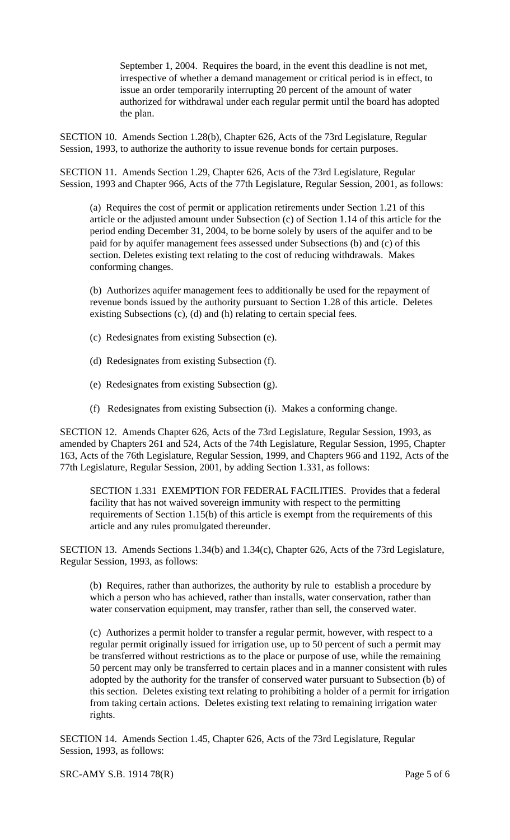September 1, 2004. Requires the board, in the event this deadline is not met, irrespective of whether a demand management or critical period is in effect, to issue an order temporarily interrupting 20 percent of the amount of water authorized for withdrawal under each regular permit until the board has adopted the plan.

SECTION 10. Amends Section 1.28(b), Chapter 626, Acts of the 73rd Legislature, Regular Session, 1993, to authorize the authority to issue revenue bonds for certain purposes.

SECTION 11. Amends Section 1.29, Chapter 626, Acts of the 73rd Legislature, Regular Session, 1993 and Chapter 966, Acts of the 77th Legislature, Regular Session, 2001, as follows:

(a) Requires the cost of permit or application retirements under Section 1.21 of this article or the adjusted amount under Subsection (c) of Section 1.14 of this article for the period ending December 31, 2004, to be borne solely by users of the aquifer and to be paid for by aquifer management fees assessed under Subsections (b) and (c) of this section. Deletes existing text relating to the cost of reducing withdrawals. Makes conforming changes.

(b) Authorizes aquifer management fees to additionally be used for the repayment of revenue bonds issued by the authority pursuant to Section 1.28 of this article. Deletes existing Subsections (c), (d) and (h) relating to certain special fees.

- (c) Redesignates from existing Subsection (e).
- (d) Redesignates from existing Subsection (f).
- (e) Redesignates from existing Subsection (g).
- (f) Redesignates from existing Subsection (i). Makes a conforming change.

SECTION 12. Amends Chapter 626, Acts of the 73rd Legislature, Regular Session, 1993, as amended by Chapters 261 and 524, Acts of the 74th Legislature, Regular Session, 1995, Chapter 163, Acts of the 76th Legislature, Regular Session, 1999, and Chapters 966 and 1192, Acts of the 77th Legislature, Regular Session, 2001, by adding Section 1.331, as follows:

SECTION 1.331 EXEMPTION FOR FEDERAL FACILITIES. Provides that a federal facility that has not waived sovereign immunity with respect to the permitting requirements of Section 1.15(b) of this article is exempt from the requirements of this article and any rules promulgated thereunder.

SECTION 13. Amends Sections 1.34(b) and 1.34(c), Chapter 626, Acts of the 73rd Legislature, Regular Session, 1993, as follows:

(b) Requires, rather than authorizes, the authority by rule to establish a procedure by which a person who has achieved, rather than installs, water conservation, rather than water conservation equipment, may transfer, rather than sell, the conserved water.

(c) Authorizes a permit holder to transfer a regular permit, however, with respect to a regular permit originally issued for irrigation use, up to 50 percent of such a permit may be transferred without restrictions as to the place or purpose of use, while the remaining 50 percent may only be transferred to certain places and in a manner consistent with rules adopted by the authority for the transfer of conserved water pursuant to Subsection (b) of this section. Deletes existing text relating to prohibiting a holder of a permit for irrigation from taking certain actions. Deletes existing text relating to remaining irrigation water rights.

SECTION 14. Amends Section 1.45, Chapter 626, Acts of the 73rd Legislature, Regular Session, 1993, as follows: